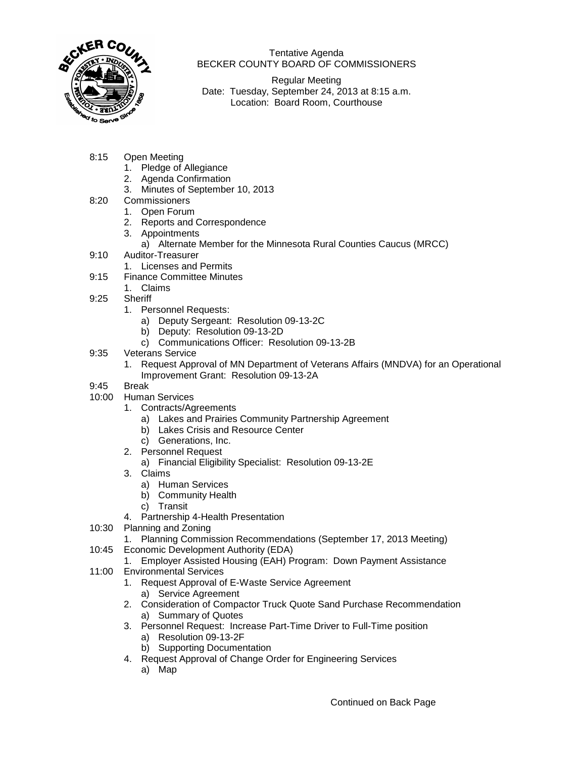

Tentative Agenda BECKER COUNTY BOARD OF COMMISSIONERS

Regular Meeting Date: Tuesday, September 24, 2013 at 8:15 a.m. Location: Board Room, Courthouse

- 8:15 Open Meeting
	- 1. Pledge of Allegiance
	- 2. Agenda Confirmation
	- 3. Minutes of September 10, 2013
- 8:20 Commissioners
	- 1. Open Forum
	- 2. Reports and Correspondence
	- 3. Appointments
		- a) Alternate Member for the Minnesota Rural Counties Caucus (MRCC)
- 9:10 Auditor-Treasurer
	- 1. Licenses and Permits
- 9:15 Finance Committee Minutes
	- 1. Claims
- 9:25 Sheriff
	- 1. Personnel Requests:
		- a) Deputy Sergeant: Resolution 09-13-2C
		- b) Deputy: Resolution 09-13-2D
		- c) Communications Officer: Resolution 09-13-2B
- 9:35 Veterans Service
	- 1. Request Approval of MN Department of Veterans Affairs (MNDVA) for an Operational Improvement Grant: Resolution 09-13-2A
- 9:45 Break
- 10:00 Human Services
	- 1. Contracts/Agreements
		- a) Lakes and Prairies Community Partnership Agreement
		- b) Lakes Crisis and Resource Center
		- c) Generations, Inc.
		- 2. Personnel Request
			- a) Financial Eligibility Specialist: Resolution 09-13-2E
		- 3. Claims
			- a) Human Services
			- b) Community Health
			- c) Transit
		- 4. Partnership 4-Health Presentation
- 10:30 Planning and Zoning
	- 1. Planning Commission Recommendations (September 17, 2013 Meeting)
- 10:45 Economic Development Authority (EDA)
	- 1. Employer Assisted Housing (EAH) Program: Down Payment Assistance
- 11:00 Environmental Services
	- 1. Request Approval of E-Waste Service Agreement a) Service Agreement
	- 2. Consideration of Compactor Truck Quote Sand Purchase Recommendation a) Summary of Quotes
	- 3. Personnel Request: Increase Part-Time Driver to Full-Time position
		- a) Resolution 09-13-2F
		- b) Supporting Documentation
	- 4. Request Approval of Change Order for Engineering Services
		- a) Map